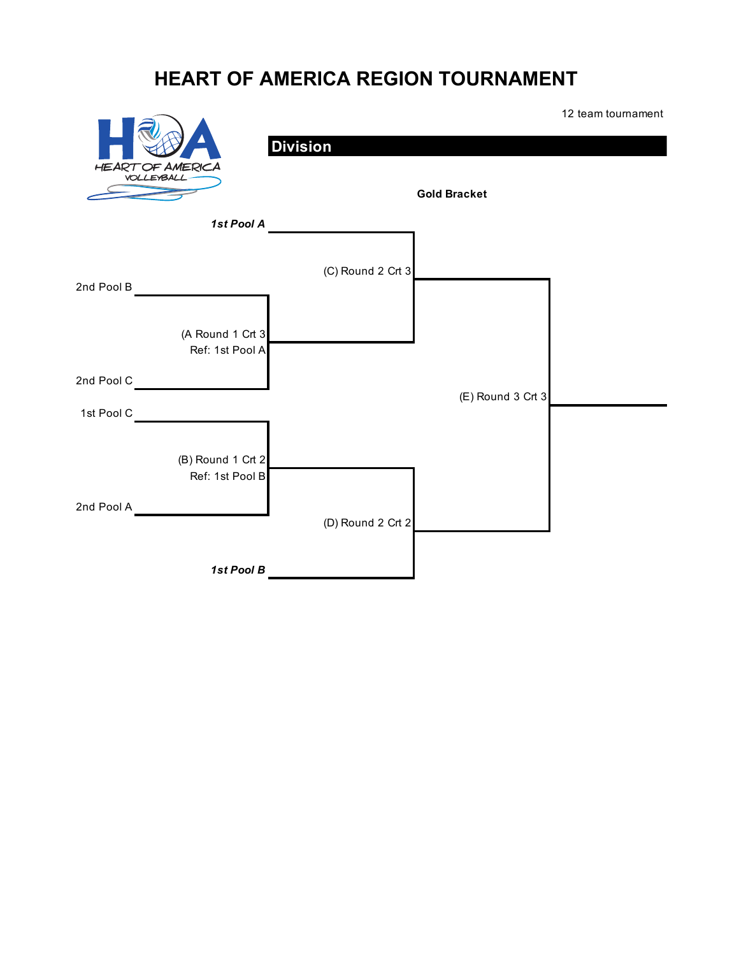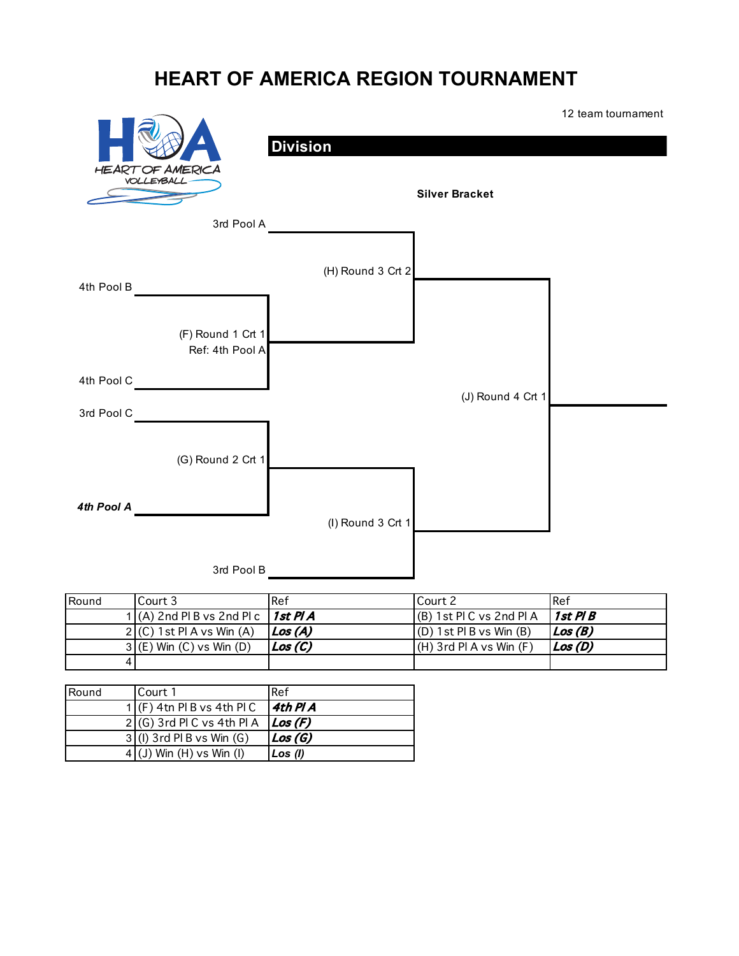

| Round | Court 3                                    | l Ref                | Court 2                      | l Ref     |
|-------|--------------------------------------------|----------------------|------------------------------|-----------|
|       | 1 (A) 2nd PI B vs 2nd PI c $\int$ 1st PI A |                      | $(B)$ 1st PIC vs 2nd PIA     | 1 st Pl B |
|       | $2 (C)$ 1 st Pl A vs Win $(A)$             | Los(A)               | $(D)$ 1 st Pl B vs Win $(B)$ | Los (B)   |
|       | $3(G)$ Win $(C)$ vs Win $(D)$              | $\mathcal{L}$ os (C) | $(H)$ 3rd PI A vs Win $(F)$  | Los(D)    |
|       |                                            |                      |                              |           |

| Round | Court 1                      | <b>I</b> Ref           |
|-------|------------------------------|------------------------|
|       | $1$ (F) 4tn Pl B vs 4th Pl C | $4th$ P $\prime$ A     |
|       | $2(G)$ 3rd PIC vs 4th PIA    | $\vert$ <i>Los</i> (F) |
|       | $3$ (I) 3rd PIB vs Win $(G)$ | $\vert$ <i>Los</i> (G) |
|       | $4$ (J) Win (H) vs Win (I)   | Los (l)                |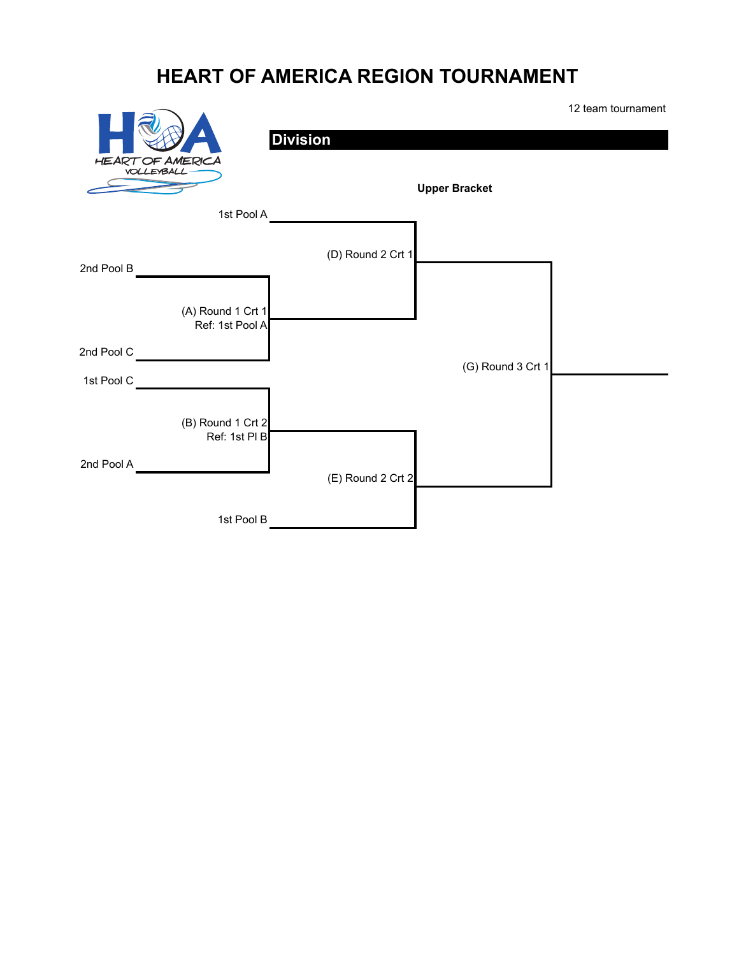